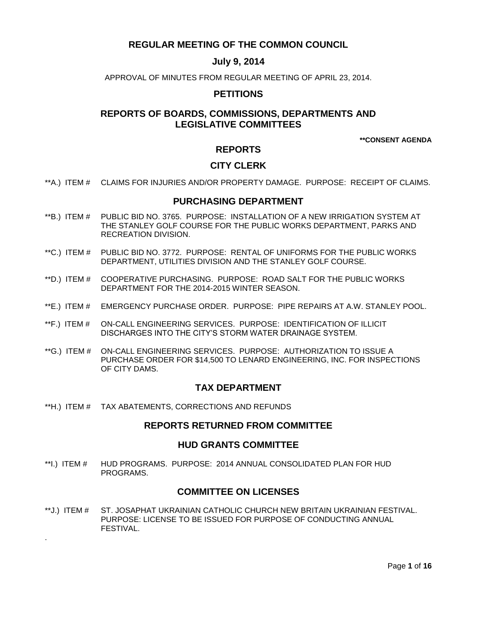# **REGULAR MEETING OF THE COMMON COUNCIL**

# **July 9, 2014**

APPROVAL OF MINUTES FROM REGULAR MEETING OF APRIL 23, 2014.

# **PETITIONS**

# **REPORTS OF BOARDS, COMMISSIONS, DEPARTMENTS AND LEGISLATIVE COMMITTEES**

**\*\*CONSENT AGENDA**

# **REPORTS**

# **CITY CLERK**

\*\*A.) ITEM # [CLAIMS FOR INJURIES AND/OR PROPERTY DAMAGE. PURPOSE: RECEIPT OF CLAIMS.](#page-2-0)

# **PURCHASING DEPARTMENT**

- \*\*B.) ITEM # [PUBLIC BID NO. 3765. PURPOSE: INSTALLATION OF A NEW IRRIGATION SYSTEM AT](#page-2-1)  [THE STANLEY GOLF COURSE FOR THE PUBLIC WORKS DEPARTMENT, PARKS AND](#page-2-1)  [RECREATION DIVISION.](#page-2-1)
- \*\*C.) ITEM # [PUBLIC BID NO. 3772. PURPOSE: RENTAL OF UNIFORMS FOR THE PUBLIC WORKS](#page-3-0)  [DEPARTMENT, UTILITIES DIVISION AND THE STANLEY GOLF COURSE.](#page-3-0)
- \*\*D.) ITEM # [COOPERATIVE PURCHASING. PURPOSE: ROAD SALT FOR THE PUBLIC WORKS](#page-4-0)  [DEPARTMENT FOR THE 2014-2015 WINTER SEASON.](#page-4-0)
- \*\*E.) ITEM # [EMERGENCY PURCHASE ORDER. PURPOSE: PIPE REPAIRS AT A.W. STANLEY POOL.](#page-4-1)
- \*\*F.) ITEM # [ON-CALL ENGINEERING SERVICES. PURPOSE: IDENTIFICATION OF ILLICIT](#page-5-0)  [DISCHARGES INTO THE CITY'S STORM WATER DRAINAGE SYSTEM.](#page-5-0)
- \*\*G.) ITEM # [ON-CALL ENGINEERING SERVICES. PURPOSE: AUTHORIZATION TO ISSUE A](#page-6-0)  [PURCHASE ORDER FOR \\$14,500 TO LENARD ENGINEERING, INC. FOR INSPECTIONS](#page-6-0)  [OF CITY DAMS.](#page-6-0)

# **TAX DEPARTMENT**

\*\*H.) ITEM # [TAX ABATEMENTS, CORRECTIONS AND REFUNDS](#page-6-1)

.

## **REPORTS RETURNED FROM COMMITTEE**

## **HUD GRANTS COMMITTEE**

\*\*I.) ITEM # [HUD PROGRAMS. PURPOSE: 2014 ANNUAL CONSOLIDATED PLAN FOR HUD](#page-7-0)  [PROGRAMS.](#page-7-0)

## **COMMITTEE ON LICENSES**

\*\*J.) ITEM # [ST. JOSAPHAT UKRAINIAN CATHOLIC CHURCH NEW BRITAIN UKRAINIAN FESTIVAL.](#page-7-1)  [PURPOSE: LICENSE TO BE ISSUED FOR PURPOSE OF CONDUCTING ANNUAL](#page-7-1)  [FESTIVAL.](#page-7-1)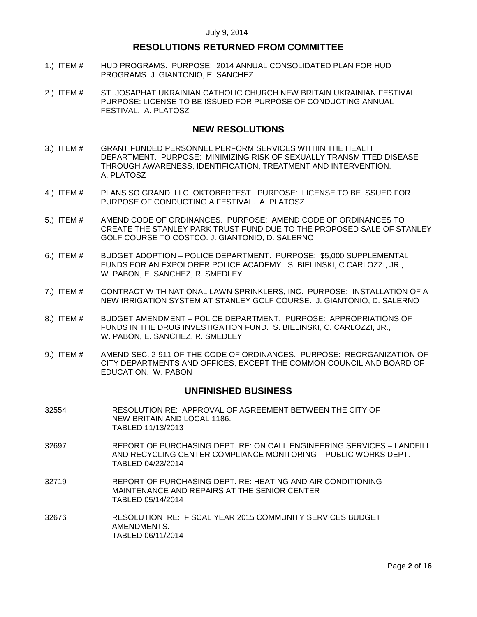# **RESOLUTIONS RETURNED FROM COMMITTEE**

- 1.) ITEM # [HUD PROGRAMS. PURPOSE: 2014 ANNUAL CONSOLIDATED PLAN FOR HUD](#page-7-2)  PROGRAMS. [J. GIANTONIO, E. SANCHEZ](#page-7-2)
- 2.) ITEM # [ST. JOSAPHAT UKRAINIAN CATHOLIC CHURCH](#page-8-0) NEW BRITAIN UKRAINIAN FESTIVAL. [PURPOSE: LICENSE TO BE ISSUED FOR PURPOSE OF CONDUCTING ANNUAL](#page-8-0)  [FESTIVAL. A. PLATOSZ](#page-8-0)

## **NEW RESOLUTIONS**

- 3.) ITEM # [GRANT FUNDED PERSONNEL PERFORM SERVICES WITHIN THE HEALTH](#page-8-1)  [DEPARTMENT. PURPOSE: MINIMIZING RISK OF SEXUALLY TRANSMITTED DISEASE](#page-8-1)  [THROUGH AWARENESS, IDENTIFICATION, TREATMENT AND INTERVENTION.](#page-8-1)  [A. PLATOSZ](#page-8-1)
- 4.) ITEM # [PLANS SO GRAND, LLC. OKTOBERFEST. PURPOSE: LICENSE TO BE ISSUED FOR](#page-9-0)  [PURPOSE OF CONDUCTING A FESTIVAL. A. PLATOSZ](#page-9-0)
- 5.) ITEM # [AMEND CODE OF ORDINANCES. PURPOSE: AMEND CODE OF ORDINANCES TO](#page-10-0)  [CREATE THE STANLEY PARK TRUST FUND DUE TO THE PROPOSED SALE OF STANLEY](#page-10-0)  [GOLF COURSE TO COSTCO. J. GIANTONIO, D. SALERNO](#page-10-0)
- 6.) ITEM # BUDGET ADOPTION [POLICE DEPARTMENT. PURPOSE: \\$5,000 SUPPLEMENTAL](#page-11-0)  [FUNDS FOR AN EXPOLORER POLICE ACADEMY. S. BIELINSKI, C.CARLOZZI, JR.,](#page-11-0)  [W. PABON, E. SANCHEZ, R. SMEDLEY](#page-11-0)
- 7.) ITEM # [CONTRACT WITH NATIONAL LAWN SPRINKLERS, INC. PURPOSE: INSTALLATION OF A](#page-11-1)  [NEW IRRIGATION SYSTEM AT STANLEY GOLF COURSE. J. GIANTONIO, D. SALERNO](#page-11-1)
- 8.) ITEM # BUDGET AMENDMENT [POLICE DEPARTMENT. PURPOSE: APPROPRIATIONS OF](#page-12-0)  [FUNDS IN THE DRUG INVESTIGATION FUND. S. BIELINSKI, C. CARLOZZI, JR.,](#page-12-0)  [W. PABON, E. SANCHEZ, R. SMEDLEY](#page-12-0)
- 9.) ITEM # AMEND [SEC. 2-911 OF THE CODE OF ORDINANCES. PURPOSE: REORGANIZATION OF](#page-13-0)  [CITY DEPARTMENTS AND OFFICES, EXCEPT THE COMMON COUNCIL AND BOARD OF](#page-13-0)  [EDUCATION. W. PABON](#page-13-0)

## **UNFINISHED BUSINESS**

- 32554 RESOLUTION RE: APPROVAL OF AGREEMENT BETWEEN THE CITY OF NEW BRITAIN AND LOCAL 1186. TABLED 11/13/2013
- 32697 REPORT OF PURCHASING DEPT. RE: ON CALL ENGINEERING SERVICES LANDFILL AND RECYCLING CENTER COMPLIANCE MONITORING – PUBLIC WORKS DEPT. TABLED 04/23/2014
- 32719 REPORT OF PURCHASING DEPT. RE: HEATING AND AIR CONDITIONING MAINTENANCE AND REPAIRS AT THE SENIOR CENTER TABLED 05/14/2014
- 32676 RESOLUTION RE: FISCAL YEAR 2015 COMMUNITY SERVICES BUDGET AMENDMENTS. TABLED 06/11/2014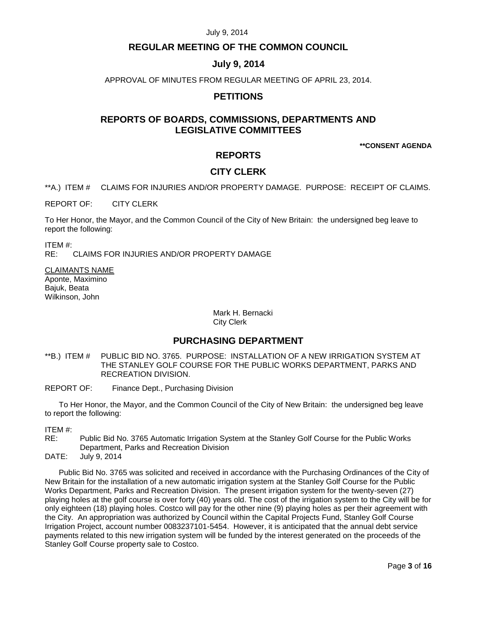## **REGULAR MEETING OF THE COMMON COUNCIL**

## **July 9, 2014**

APPROVAL OF MINUTES FROM REGULAR MEETING OF APRIL 23, 2014.

# **PETITIONS**

# **REPORTS OF BOARDS, COMMISSIONS, DEPARTMENTS AND LEGISLATIVE COMMITTEES**

**\*\*CONSENT AGENDA**

## **REPORTS**

## **CITY CLERK**

<span id="page-2-0"></span>\*\*A.) ITEM # CLAIMS FOR INJURIES AND/OR PROPERTY DAMAGE. PURPOSE: RECEIPT OF CLAIMS.

REPORT OF: CITY CLERK

To Her Honor, the Mayor, and the Common Council of the City of New Britain: the undersigned beg leave to report the following:

ITEM #: RE: CLAIMS FOR INJURIES AND/OR PROPERTY DAMAGE

CLAIMANTS NAME Aponte, Maximino Bajuk, Beata Wilkinson, John

> Mark H. Bernacki City Clerk

# **PURCHASING DEPARTMENT**

- <span id="page-2-1"></span>\*\*B.) ITEM # PUBLIC BID NO. 3765. PURPOSE: INSTALLATION OF A NEW IRRIGATION SYSTEM AT THE STANLEY GOLF COURSE FOR THE PUBLIC WORKS DEPARTMENT, PARKS AND RECREATION DIVISION.
- REPORT OF: Finance Dept., Purchasing Division

To Her Honor, the Mayor, and the Common Council of the City of New Britain: the undersigned beg leave to report the following:

ITEM #:

RE: Public Bid No. 3765 Automatic Irrigation System at the Stanley Golf Course for the Public Works Department, Parks and Recreation Division

DATE: July 9, 2014

Public Bid No. 3765 was solicited and received in accordance with the Purchasing Ordinances of the City of New Britain for the installation of a new automatic irrigation system at the Stanley Golf Course for the Public Works Department, Parks and Recreation Division. The present irrigation system for the twenty-seven (27) playing holes at the golf course is over forty (40) years old. The cost of the irrigation system to the City will be for only eighteen (18) playing holes. Costco will pay for the other nine (9) playing holes as per their agreement with the City. An appropriation was authorized by Council within the Capital Projects Fund, Stanley Golf Course Irrigation Project, account number 0083237101-5454. However, it is anticipated that the annual debt service payments related to this new irrigation system will be funded by the interest generated on the proceeds of the Stanley Golf Course property sale to Costco.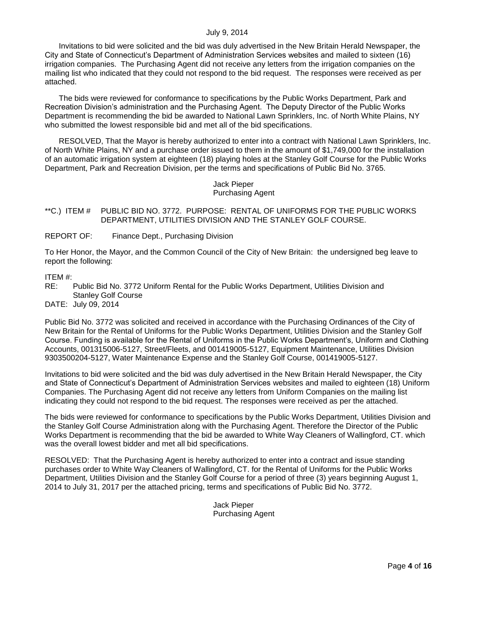Invitations to bid were solicited and the bid was duly advertised in the New Britain Herald Newspaper, the City and State of Connecticut's Department of Administration Services websites and mailed to sixteen (16) irrigation companies. The Purchasing Agent did not receive any letters from the irrigation companies on the mailing list who indicated that they could not respond to the bid request. The responses were received as per attached.

The bids were reviewed for conformance to specifications by the Public Works Department, Park and Recreation Division's administration and the Purchasing Agent. The Deputy Director of the Public Works Department is recommending the bid be awarded to National Lawn Sprinklers, Inc. of North White Plains, NY who submitted the lowest responsible bid and met all of the bid specifications.

RESOLVED, That the Mayor is hereby authorized to enter into a contract with National Lawn Sprinklers, Inc. of North White Plains, NY and a purchase order issued to them in the amount of \$1,749,000 for the installation of an automatic irrigation system at eighteen (18) playing holes at the Stanley Golf Course for the Public Works Department, Park and Recreation Division, per the terms and specifications of Public Bid No. 3765.

## Jack Pieper Purchasing Agent

- <span id="page-3-0"></span>\*\*C.) ITEM # PUBLIC BID NO. 3772. PURPOSE: RENTAL OF UNIFORMS FOR THE PUBLIC WORKS DEPARTMENT, UTILITIES DIVISION AND THE STANLEY GOLF COURSE.
- REPORT OF: Finance Dept., Purchasing Division

To Her Honor, the Mayor, and the Common Council of the City of New Britain: the undersigned beg leave to report the following:

ITEM #:

RE: Public Bid No. 3772 Uniform Rental for the Public Works Department, Utilities Division and Stanley Golf Course

DATE: July 09, 2014

Public Bid No. 3772 was solicited and received in accordance with the Purchasing Ordinances of the City of New Britain for the Rental of Uniforms for the Public Works Department, Utilities Division and the Stanley Golf Course. Funding is available for the Rental of Uniforms in the Public Works Department's, Uniform and Clothing Accounts, 001315006-5127, Street/Fleets, and 001419005-5127, Equipment Maintenance, Utilities Division 9303500204-5127, Water Maintenance Expense and the Stanley Golf Course, 001419005-5127.

Invitations to bid were solicited and the bid was duly advertised in the New Britain Herald Newspaper, the City and State of Connecticut's Department of Administration Services websites and mailed to eighteen (18) Uniform Companies. The Purchasing Agent did not receive any letters from Uniform Companies on the mailing list indicating they could not respond to the bid request. The responses were received as per the attached.

The bids were reviewed for conformance to specifications by the Public Works Department, Utilities Division and the Stanley Golf Course Administration along with the Purchasing Agent. Therefore the Director of the Public Works Department is recommending that the bid be awarded to White Way Cleaners of Wallingford, CT. which was the overall lowest bidder and met all bid specifications.

RESOLVED: That the Purchasing Agent is hereby authorized to enter into a contract and issue standing purchases order to White Way Cleaners of Wallingford, CT. for the Rental of Uniforms for the Public Works Department, Utilities Division and the Stanley Golf Course for a period of three (3) years beginning August 1, 2014 to July 31, 2017 per the attached pricing, terms and specifications of Public Bid No. 3772.

> Jack Pieper Purchasing Agent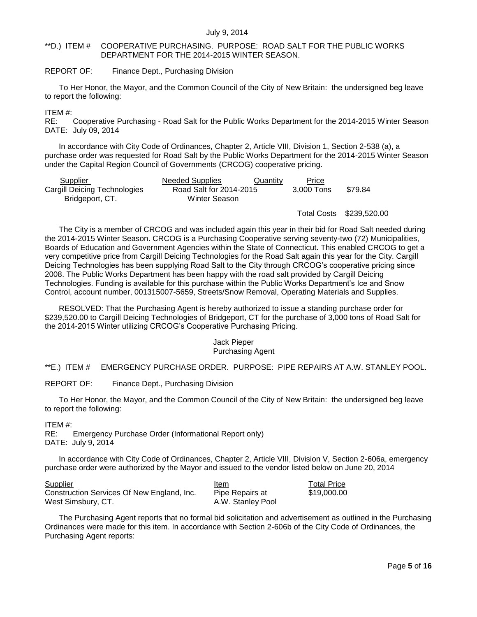## <span id="page-4-0"></span>\*\*D.) ITEM # COOPERATIVE PURCHASING. PURPOSE: ROAD SALT FOR THE PUBLIC WORKS DEPARTMENT FOR THE 2014-2015 WINTER SEASON.

## REPORT OF: Finance Dept., Purchasing Division

To Her Honor, the Mayor, and the Common Council of the City of New Britain: the undersigned beg leave to report the following:

## ITEM #:

RE: Cooperative Purchasing - Road Salt for the Public Works Department for the 2014-2015 Winter Season DATE: July 09, 2014

In accordance with City Code of Ordinances, Chapter 2, Article VIII, Division 1, Section 2-538 (a), a purchase order was requested for Road Salt by the Public Works Department for the 2014-2015 Winter Season under the Capital Region Council of Governments (CRCOG) cooperative pricing.

| Supplier                     | Needed Supplies         | Quantity | Price      |         |
|------------------------------|-------------------------|----------|------------|---------|
| Cargill Deicing Technologies | Road Salt for 2014-2015 |          | 3.000 Tons | \$79.84 |
| Bridgeport, CT.              | Winter Season           |          |            |         |

Total Costs \$239,520.00

The City is a member of CRCOG and was included again this year in their bid for Road Salt needed during the 2014-2015 Winter Season. CRCOG is a Purchasing Cooperative serving seventy-two (72) Municipalities, Boards of Education and Government Agencies within the State of Connecticut. This enabled CRCOG to get a very competitive price from Cargill Deicing Technologies for the Road Salt again this year for the City. Cargill Deicing Technologies has been supplying Road Salt to the City through CRCOG's cooperative pricing since 2008. The Public Works Department has been happy with the road salt provided by Cargill Deicing Technologies. Funding is available for this purchase within the Public Works Department's Ice and Snow Control, account number, 001315007-5659, Streets/Snow Removal, Operating Materials and Supplies.

RESOLVED: That the Purchasing Agent is hereby authorized to issue a standing purchase order for \$239,520.00 to Cargill Deicing Technologies of Bridgeport, CT for the purchase of 3,000 tons of Road Salt for the 2014-2015 Winter utilizing CRCOG's Cooperative Purchasing Pricing.

#### Jack Pieper Purchasing Agent

<span id="page-4-1"></span>\*\*E.) ITEM # EMERGENCY PURCHASE ORDER. PURPOSE: PIPE REPAIRS AT A.W. STANLEY POOL.

REPORT OF: Finance Dept., Purchasing Division

To Her Honor, the Mayor, and the Common Council of the City of New Britain: the undersigned beg leave to report the following:

ITEM #:

RE: Emergency Purchase Order (Informational Report only) DATE: July 9, 2014

In accordance with City Code of Ordinances, Chapter 2, Article VIII, Division V, Section 2-606a, emergency purchase order were authorized by the Mayor and issued to the vendor listed below on June 20, 2014

| <b>Supplier</b>                            | Item              | <b>Total Price</b> |
|--------------------------------------------|-------------------|--------------------|
| Construction Services Of New England, Inc. | Pipe Repairs at   | \$19,000.00        |
| West Simsbury, CT.                         | A.W. Stanley Pool |                    |

The Purchasing Agent reports that no formal bid solicitation and advertisement as outlined in the Purchasing Ordinances were made for this item. In accordance with Section 2-606b of the City Code of Ordinances, the Purchasing Agent reports: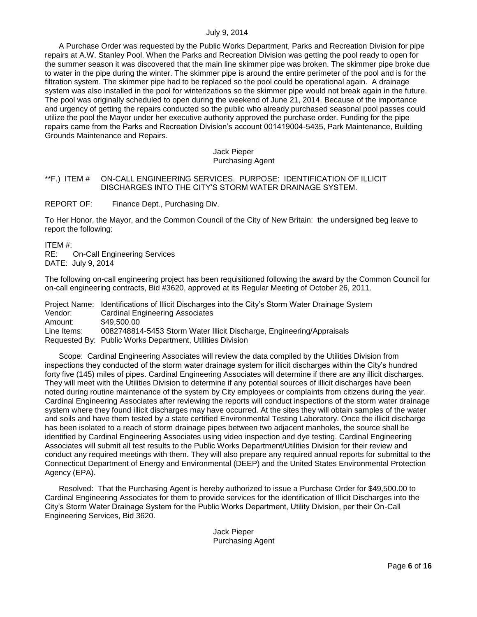A Purchase Order was requested by the Public Works Department, Parks and Recreation Division for pipe repairs at A.W. Stanley Pool. When the Parks and Recreation Division was getting the pool ready to open for the summer season it was discovered that the main line skimmer pipe was broken. The skimmer pipe broke due to water in the pipe during the winter. The skimmer pipe is around the entire perimeter of the pool and is for the filtration system. The skimmer pipe had to be replaced so the pool could be operational again. A drainage system was also installed in the pool for winterizations so the skimmer pipe would not break again in the future. The pool was originally scheduled to open during the weekend of June 21, 2014. Because of the importance and urgency of getting the repairs conducted so the public who already purchased seasonal pool passes could utilize the pool the Mayor under her executive authority approved the purchase order. Funding for the pipe repairs came from the Parks and Recreation Division's account 001419004-5435, Park Maintenance, Building Grounds Maintenance and Repairs.

#### Jack Pieper Purchasing Agent

## <span id="page-5-0"></span>\*\*F.) ITEM # ON-CALL ENGINEERING SERVICES. PURPOSE: IDENTIFICATION OF ILLICIT DISCHARGES INTO THE CITY'S STORM WATER DRAINAGE SYSTEM.

REPORT OF: Finance Dept., Purchasing Div.

To Her Honor, the Mayor, and the Common Council of the City of New Britain: the undersigned beg leave to report the following:

ITEM #: RE: On-Call Engineering Services

DATE: July 9, 2014

The following on-call engineering project has been requisitioned following the award by the Common Council for on-call engineering contracts, Bid #3620, approved at its Regular Meeting of October 26, 2011.

Project Name: Identifications of Illicit Discharges into the City's Storm Water Drainage System Vendor: Cardinal Engineering Associates<br>Amount: \$49.500.00 \$49,500.00 Line Items: 0082748814-5453 Storm Water Illicit Discharge, Engineering/Appraisals Requested By: Public Works Department, Utilities Division

Scope: Cardinal Engineering Associates will review the data compiled by the Utilities Division from inspections they conducted of the storm water drainage system for illicit discharges within the City's hundred forty five (145) miles of pipes. Cardinal Engineering Associates will determine if there are any illicit discharges. They will meet with the Utilities Division to determine if any potential sources of illicit discharges have been noted during routine maintenance of the system by City employees or complaints from citizens during the year. Cardinal Engineering Associates after reviewing the reports will conduct inspections of the storm water drainage system where they found illicit discharges may have occurred. At the sites they will obtain samples of the water and soils and have them tested by a state certified Environmental Testing Laboratory. Once the illicit discharge has been isolated to a reach of storm drainage pipes between two adjacent manholes, the source shall be identified by Cardinal Engineering Associates using video inspection and dye testing. Cardinal Engineering Associates will submit all test results to the Public Works Department/Utilities Division for their review and conduct any required meetings with them. They will also prepare any required annual reports for submittal to the Connecticut Department of Energy and Environmental (DEEP) and the United States Environmental Protection Agency (EPA).

Resolved: That the Purchasing Agent is hereby authorized to issue a Purchase Order for \$49,500.00 to Cardinal Engineering Associates for them to provide services for the identification of Illicit Discharges into the City's Storm Water Drainage System for the Public Works Department, Utility Division, per their On-Call Engineering Services, Bid 3620.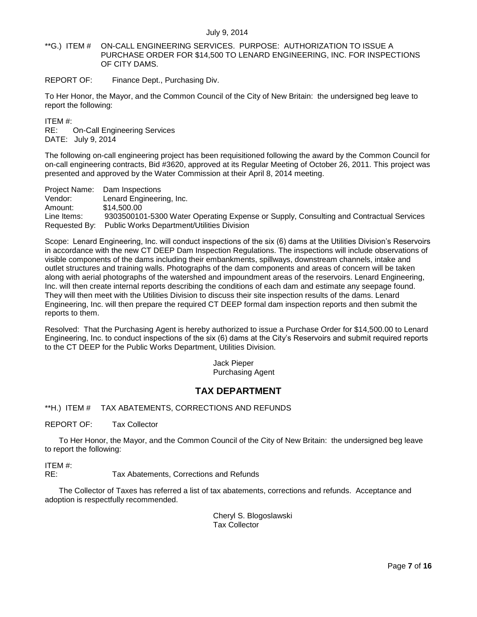<span id="page-6-0"></span>\*\*G.) ITEM # ON-CALL ENGINEERING SERVICES. PURPOSE: AUTHORIZATION TO ISSUE A PURCHASE ORDER FOR \$14,500 TO LENARD ENGINEERING, INC. FOR INSPECTIONS OF CITY DAMS.

REPORT OF: Finance Dept., Purchasing Div.

To Her Honor, the Mayor, and the Common Council of the City of New Britain: the undersigned beg leave to report the following:

ITEM #:

RE: On-Call Engineering Services DATE: July 9, 2014

The following on-call engineering project has been requisitioned following the award by the Common Council for on-call engineering contracts, Bid #3620, approved at its Regular Meeting of October 26, 2011. This project was presented and approved by the Water Commission at their April 8, 2014 meeting.

Project Name: Dam Inspections Vendor: Lenard Engineering, Inc. Amount: \$14,500.00 Line Items: 9303500101-5300 Water Operating Expense or Supply, Consulting and Contractual Services Requested By: Public Works Department/Utilities Division

Scope: Lenard Engineering, Inc. will conduct inspections of the six (6) dams at the Utilities Division's Reservoirs in accordance with the new CT DEEP Dam Inspection Regulations. The inspections will include observations of visible components of the dams including their embankments, spillways, downstream channels, intake and outlet structures and training walls. Photographs of the dam components and areas of concern will be taken along with aerial photographs of the watershed and impoundment areas of the reservoirs. Lenard Engineering, Inc. will then create internal reports describing the conditions of each dam and estimate any seepage found. They will then meet with the Utilities Division to discuss their site inspection results of the dams. Lenard Engineering, Inc. will then prepare the required CT DEEP formal dam inspection reports and then submit the reports to them.

Resolved: That the Purchasing Agent is hereby authorized to issue a Purchase Order for \$14,500.00 to Lenard Engineering, Inc. to conduct inspections of the six (6) dams at the City's Reservoirs and submit required reports to the CT DEEP for the Public Works Department, Utilities Division.

> Jack Pieper Purchasing Agent

# **TAX DEPARTMENT**

<span id="page-6-1"></span>\*\*H.) ITEM # TAX ABATEMENTS, CORRECTIONS AND REFUNDS

REPORT OF: Tax Collector

To Her Honor, the Mayor, and the Common Council of the City of New Britain: the undersigned beg leave to report the following:

ITEM #:

RE: Tax Abatements, Corrections and Refunds

The Collector of Taxes has referred a list of tax abatements, corrections and refunds. Acceptance and adoption is respectfully recommended.

> Cheryl S. Blogoslawski Tax Collector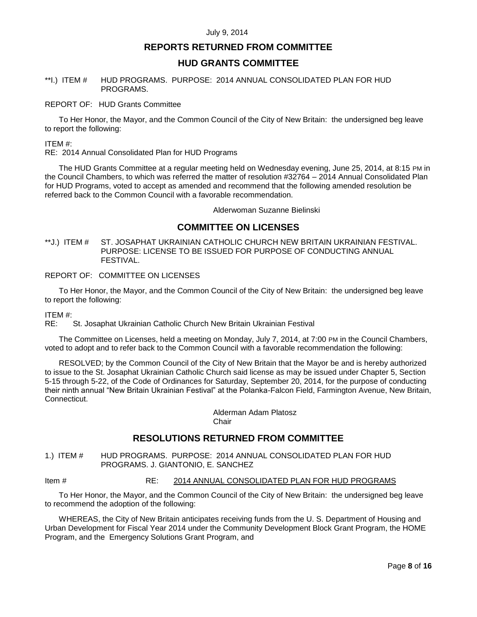# **REPORTS RETURNED FROM COMMITTEE**

## **HUD GRANTS COMMITTEE**

## <span id="page-7-0"></span>\*\*I.) ITEM # HUD PROGRAMS. PURPOSE: 2014 ANNUAL CONSOLIDATED PLAN FOR HUD PROGRAMS.

## REPORT OF: HUD Grants Committee

To Her Honor, the Mayor, and the Common Council of the City of New Britain: the undersigned beg leave to report the following:

#### ITEM #:

RE: 2014 Annual Consolidated Plan for HUD Programs

The HUD Grants Committee at a regular meeting held on Wednesday evening, June 25, 2014, at 8:15 PM in the Council Chambers, to which was referred the matter of resolution #32764 – 2014 Annual Consolidated Plan for HUD Programs, voted to accept as amended and recommend that the following amended resolution be referred back to the Common Council with a favorable recommendation.

Alderwoman Suzanne Bielinski

# **COMMITTEE ON LICENSES**

<span id="page-7-1"></span>\*\*J.) ITEM # ST. JOSAPHAT UKRAINIAN CATHOLIC CHURCH NEW BRITAIN UKRAINIAN FESTIVAL. PURPOSE: LICENSE TO BE ISSUED FOR PURPOSE OF CONDUCTING ANNUAL FESTIVAL.

## REPORT OF: COMMITTEE ON LICENSES

To Her Honor, the Mayor, and the Common Council of the City of New Britain: the undersigned beg leave to report the following:

## ITEM #:

RE: St. Josaphat Ukrainian Catholic Church New Britain Ukrainian Festival

The Committee on Licenses, held a meeting on Monday, July 7, 2014, at 7:00 PM in the Council Chambers, voted to adopt and to refer back to the Common Council with a favorable recommendation the following:

RESOLVED; by the Common Council of the City of New Britain that the Mayor be and is hereby authorized to issue to the St. Josaphat Ukrainian Catholic Church said license as may be issued under Chapter 5, Section 5-15 through 5-22, of the Code of Ordinances for Saturday, September 20, 2014, for the purpose of conducting their ninth annual "New Britain Ukrainian Festival" at the Polanka-Falcon Field, Farmington Avenue, New Britain, Connecticut.

Alderman Adam Platosz Chair

# **RESOLUTIONS RETURNED FROM COMMITTEE**

<span id="page-7-2"></span>1.) ITEM # HUD PROGRAMS. PURPOSE: 2014 ANNUAL CONSOLIDATED PLAN FOR HUD PROGRAMS. J. GIANTONIO, E. SANCHEZ

## Item # RE: 2014 ANNUAL CONSOLIDATED PLAN FOR HUD PROGRAMS

To Her Honor, the Mayor, and the Common Council of the City of New Britain: the undersigned beg leave to recommend the adoption of the following:

WHEREAS, the City of New Britain anticipates receiving funds from the U. S. Department of Housing and Urban Development for Fiscal Year 2014 under the Community Development Block Grant Program, the HOME Program, and the Emergency Solutions Grant Program, and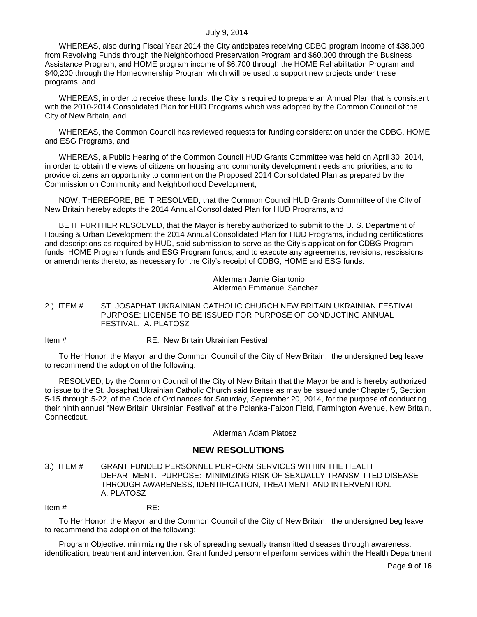WHEREAS, also during Fiscal Year 2014 the City anticipates receiving CDBG program income of \$38,000 from Revolving Funds through the Neighborhood Preservation Program and \$60,000 through the Business Assistance Program, and HOME program income of \$6,700 through the HOME Rehabilitation Program and \$40,200 through the Homeownership Program which will be used to support new projects under these programs, and

WHEREAS, in order to receive these funds, the City is required to prepare an Annual Plan that is consistent with the 2010-2014 Consolidated Plan for HUD Programs which was adopted by the Common Council of the City of New Britain, and

WHEREAS, the Common Council has reviewed requests for funding consideration under the CDBG, HOME and ESG Programs, and

WHEREAS, a Public Hearing of the Common Council HUD Grants Committee was held on April 30, 2014, in order to obtain the views of citizens on housing and community development needs and priorities, and to provide citizens an opportunity to comment on the Proposed 2014 Consolidated Plan as prepared by the Commission on Community and Neighborhood Development;

NOW, THEREFORE, BE IT RESOLVED, that the Common Council HUD Grants Committee of the City of New Britain hereby adopts the 2014 Annual Consolidated Plan for HUD Programs, and

BE IT FURTHER RESOLVED, that the Mayor is hereby authorized to submit to the U. S. Department of Housing & Urban Development the 2014 Annual Consolidated Plan for HUD Programs, including certifications and descriptions as required by HUD, said submission to serve as the City's application for CDBG Program funds, HOME Program funds and ESG Program funds, and to execute any agreements, revisions, rescissions or amendments thereto, as necessary for the City's receipt of CDBG, HOME and ESG funds.

> Alderman Jamie Giantonio Alderman Emmanuel Sanchez

<span id="page-8-0"></span>2.) ITEM # ST. JOSAPHAT UKRAINIAN CATHOLIC CHURCH NEW BRITAIN UKRAINIAN FESTIVAL. PURPOSE: LICENSE TO BE ISSUED FOR PURPOSE OF CONDUCTING ANNUAL FESTIVAL. A. PLATOSZ

Item # RE: New Britain Ukrainian Festival

To Her Honor, the Mayor, and the Common Council of the City of New Britain: the undersigned beg leave to recommend the adoption of the following:

RESOLVED; by the Common Council of the City of New Britain that the Mayor be and is hereby authorized to issue to the St. Josaphat Ukrainian Catholic Church said license as may be issued under Chapter 5, Section 5-15 through 5-22, of the Code of Ordinances for Saturday, September 20, 2014, for the purpose of conducting their ninth annual "New Britain Ukrainian Festival" at the Polanka-Falcon Field, Farmington Avenue, New Britain, Connecticut.

Alderman Adam Platosz

# **NEW RESOLUTIONS**

<span id="page-8-1"></span>3.) ITEM # GRANT FUNDED PERSONNEL PERFORM SERVICES WITHIN THE HEALTH DEPARTMENT. PURPOSE: MINIMIZING RISK OF SEXUALLY TRANSMITTED DISEASE THROUGH AWARENESS, IDENTIFICATION, TREATMENT AND INTERVENTION. A. PLATOSZ

Item  $\#$  RE:

To Her Honor, the Mayor, and the Common Council of the City of New Britain: the undersigned beg leave to recommend the adoption of the following:

Program Objective: minimizing the risk of spreading sexually transmitted diseases through awareness, identification, treatment and intervention. Grant funded personnel perform services within the Health Department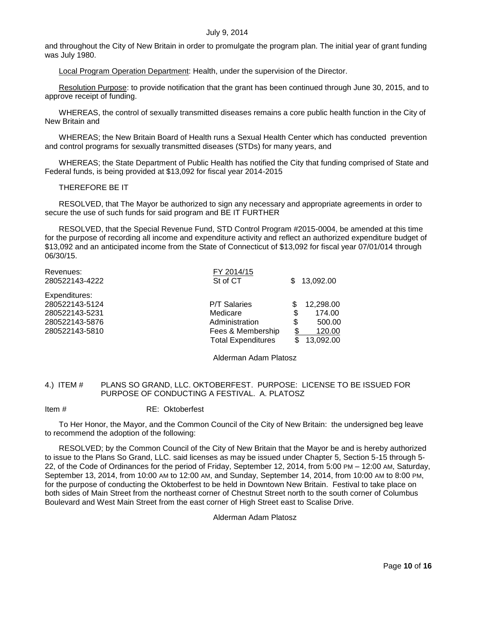and throughout the City of New Britain in order to promulgate the program plan. The initial year of grant funding was July 1980.

Local Program Operation Department: Health, under the supervision of the Director.

Resolution Purpose: to provide notification that the grant has been continued through June 30, 2015, and to approve receipt of funding.

WHEREAS, the control of sexually transmitted diseases remains a core public health function in the City of New Britain and

WHEREAS; the New Britain Board of Health runs a Sexual Health Center which has conducted prevention and control programs for sexually transmitted diseases (STDs) for many years, and

WHEREAS; the State Department of Public Health has notified the City that funding comprised of State and Federal funds, is being provided at \$13,092 for fiscal year 2014-2015

THEREFORE BE IT

RESOLVED, that The Mayor be authorized to sign any necessary and appropriate agreements in order to secure the use of such funds for said program and BE IT FURTHER

RESOLVED, that the Special Revenue Fund, STD Control Program #2015-0004, be amended at this time for the purpose of recording all income and expenditure activity and reflect an authorized expenditure budget of \$13,092 and an anticipated income from the State of Connecticut of \$13,092 for fiscal year 07/01/014 through 06/30/15.

| Revenues:      | FY 2014/15                |              |
|----------------|---------------------------|--------------|
| 280522143-4222 | St of CT                  | 13,092.00    |
| Expenditures:  |                           |              |
| 280522143-5124 | <b>P/T Salaries</b>       | 12,298.00    |
| 280522143-5231 | Medicare                  | \$<br>174.00 |
| 280522143-5876 | Administration            | \$<br>500.00 |
| 280522143-5810 | Fees & Membership         | 120.00       |
|                | <b>Total Expenditures</b> | 13,092.00    |
|                |                           |              |

Alderman Adam Platosz

## <span id="page-9-0"></span>4.) ITEM # PLANS SO GRAND, LLC. OKTOBERFEST. PURPOSE: LICENSE TO BE ISSUED FOR PURPOSE OF CONDUCTING A FESTIVAL. A. PLATOSZ

## Item # RE: Oktoberfest

To Her Honor, the Mayor, and the Common Council of the City of New Britain: the undersigned beg leave to recommend the adoption of the following:

RESOLVED; by the Common Council of the City of New Britain that the Mayor be and is hereby authorized to issue to the Plans So Grand, LLC. said licenses as may be issued under Chapter 5, Section 5-15 through 5- 22, of the Code of Ordinances for the period of Friday, September 12, 2014, from 5:00 PM – 12:00 AM, Saturday, September 13, 2014, from 10:00 AM to 12:00 AM, and Sunday, September 14, 2014, from 10:00 AM to 8:00 PM, for the purpose of conducting the Oktoberfest to be held in Downtown New Britain. Festival to take place on both sides of Main Street from the northeast corner of Chestnut Street north to the south corner of Columbus Boulevard and West Main Street from the east corner of High Street east to Scalise Drive.

Alderman Adam Platosz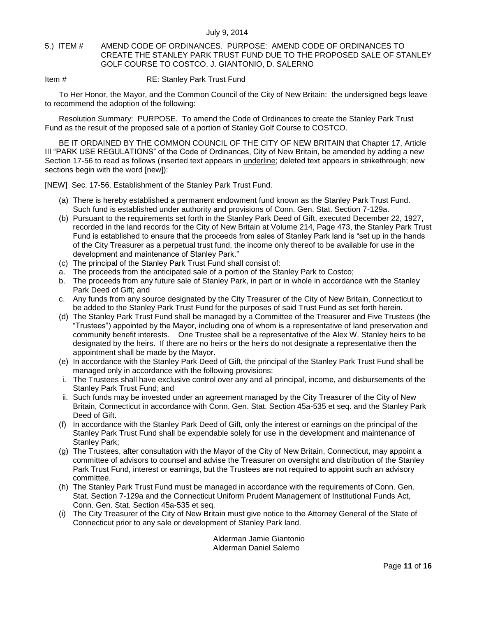## <span id="page-10-0"></span>5.) ITEM # AMEND CODE OF ORDINANCES. PURPOSE: AMEND CODE OF ORDINANCES TO CREATE THE STANLEY PARK TRUST FUND DUE TO THE PROPOSED SALE OF STANLEY GOLF COURSE TO COSTCO. J. GIANTONIO, D. SALERNO

Item # **RE: Stanley Park Trust Fund** 

To Her Honor, the Mayor, and the Common Council of the City of New Britain: the undersigned begs leave to recommend the adoption of the following:

Resolution Summary: PURPOSE. To amend the Code of Ordinances to create the Stanley Park Trust Fund as the result of the proposed sale of a portion of Stanley Golf Course to COSTCO.

BE IT ORDAINED BY THE COMMON COUNCIL OF THE CITY OF NEW BRITAIN that Chapter 17, Article III "PARK USE REGULATIONS" of the Code of Ordinances, City of New Britain, be amended by adding a new Section 17-56 to read as follows (inserted text appears in underline; deleted text appears in strikethrough; new sections begin with the word [new]):

[NEW] Sec. 17-56. Establishment of the Stanley Park Trust Fund.

- (a) There is hereby established a permanent endowment fund known as the Stanley Park Trust Fund. Such fund is established under authority and provisions of Conn. Gen. Stat. Section 7-129a.
- (b) Pursuant to the requirements set forth in the Stanley Park Deed of Gift, executed December 22, 1927, recorded in the land records for the City of New Britain at Volume 214, Page 473, the Stanley Park Trust Fund is established to ensure that the proceeds from sales of Stanley Park land is "set up in the hands of the City Treasurer as a perpetual trust fund, the income only thereof to be available for use in the development and maintenance of Stanley Park."
- (c) The principal of the Stanley Park Trust Fund shall consist of:
- a. The proceeds from the anticipated sale of a portion of the Stanley Park to Costco;
- b. The proceeds from any future sale of Stanley Park, in part or in whole in accordance with the Stanley Park Deed of Gift; and
- c. Any funds from any source designated by the City Treasurer of the City of New Britain, Connecticut to be added to the Stanley Park Trust Fund for the purposes of said Trust Fund as set forth herein.
- (d) The Stanley Park Trust Fund shall be managed by a Committee of the Treasurer and Five Trustees (the "Trustees") appointed by the Mayor, including one of whom is a representative of land preservation and community benefit interests. One Trustee shall be a representative of the Alex W. Stanley heirs to be designated by the heirs. If there are no heirs or the heirs do not designate a representative then the appointment shall be made by the Mayor.
- (e) In accordance with the Stanley Park Deed of Gift, the principal of the Stanley Park Trust Fund shall be managed only in accordance with the following provisions:
- i. The Trustees shall have exclusive control over any and all principal, income, and disbursements of the Stanley Park Trust Fund; and
- ii. Such funds may be invested under an agreement managed by the City Treasurer of the City of New Britain, Connecticut in accordance with Conn. Gen. Stat. Section 45a-535 et seq. and the Stanley Park Deed of Gift.
- (f) In accordance with the Stanley Park Deed of Gift, only the interest or earnings on the principal of the Stanley Park Trust Fund shall be expendable solely for use in the development and maintenance of Stanley Park;
- (g) The Trustees, after consultation with the Mayor of the City of New Britain, Connecticut, may appoint a committee of advisors to counsel and advise the Treasurer on oversight and distribution of the Stanley Park Trust Fund, interest or earnings, but the Trustees are not required to appoint such an advisory committee.
- (h) The Stanley Park Trust Fund must be managed in accordance with the requirements of Conn. Gen. Stat. Section 7-129a and the Connecticut Uniform Prudent Management of Institutional Funds Act, Conn. Gen. Stat. Section 45a-535 et seq.
- (i) The City Treasurer of the City of New Britain must give notice to the Attorney General of the State of Connecticut prior to any sale or development of Stanley Park land.

Alderman Jamie Giantonio Alderman Daniel Salerno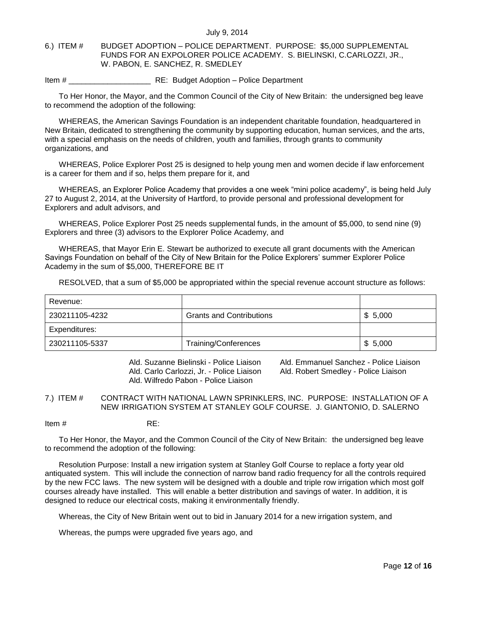## <span id="page-11-0"></span>6.) ITEM # BUDGET ADOPTION – POLICE DEPARTMENT. PURPOSE: \$5,000 SUPPLEMENTAL FUNDS FOR AN EXPOLORER POLICE ACADEMY. S. BIELINSKI, C.CARLOZZI, JR., W. PABON, E. SANCHEZ, R. SMEDLEY

Item # \_\_\_\_\_\_\_\_\_\_\_\_\_\_\_\_\_\_\_ RE: Budget Adoption – Police Department

To Her Honor, the Mayor, and the Common Council of the City of New Britain: the undersigned beg leave to recommend the adoption of the following:

WHEREAS, the American Savings Foundation is an independent charitable foundation, headquartered in New Britain, dedicated to strengthening the community by supporting education, human services, and the arts, with a special emphasis on the needs of children, youth and families, through grants to community organizations, and

WHEREAS, Police Explorer Post 25 is designed to help young men and women decide if law enforcement is a career for them and if so, helps them prepare for it, and

WHEREAS, an Explorer Police Academy that provides a one week "mini police academy", is being held July 27 to August 2, 2014, at the University of Hartford, to provide personal and professional development for Explorers and adult advisors, and

WHEREAS, Police Explorer Post 25 needs supplemental funds, in the amount of \$5,000, to send nine (9) Explorers and three (3) advisors to the Explorer Police Academy, and

WHEREAS, that Mayor Erin E. Stewart be authorized to execute all grant documents with the American Savings Foundation on behalf of the City of New Britain for the Police Explorers' summer Explorer Police Academy in the sum of \$5,000, THEREFORE BE IT

RESOLVED, that a sum of \$5,000 be appropriated within the special revenue account structure as follows:

| Revenue:       |                                 |         |
|----------------|---------------------------------|---------|
| 230211105-4232 | <b>Grants and Contributions</b> | \$5,000 |
| Expenditures:  |                                 |         |
| 230211105-5337 | Training/Conferences            | \$5,000 |

Ald. Carlo Carlozzi, Jr. - Police Liaison Ald. Robert Smedley - Police Liaison Ald. Wilfredo Pabon - Police Liaison

Ald. Suzanne Bielinski - Police Liaison Ald. Emmanuel Sanchez - Police Liaison

<span id="page-11-1"></span>7.) ITEM # CONTRACT WITH NATIONAL LAWN SPRINKLERS, INC. PURPOSE: INSTALLATION OF A NEW IRRIGATION SYSTEM AT STANLEY GOLF COURSE. J. GIANTONIO, D. SALERNO

Item # RE:

To Her Honor, the Mayor, and the Common Council of the City of New Britain: the undersigned beg leave to recommend the adoption of the following:

Resolution Purpose: Install a new irrigation system at Stanley Golf Course to replace a forty year old antiquated system. This will include the connection of narrow band radio frequency for all the controls required by the new FCC laws. The new system will be designed with a double and triple row irrigation which most golf courses already have installed. This will enable a better distribution and savings of water. In addition, it is designed to reduce our electrical costs, making it environmentally friendly.

Whereas, the City of New Britain went out to bid in January 2014 for a new irrigation system, and

Whereas, the pumps were upgraded five years ago, and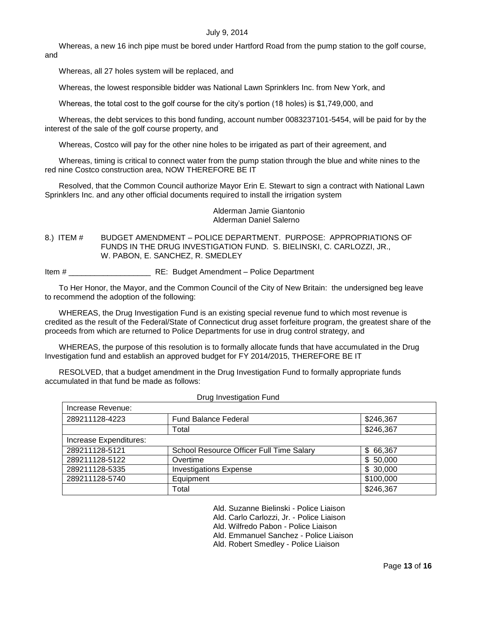Whereas, a new 16 inch pipe must be bored under Hartford Road from the pump station to the golf course, and

Whereas, all 27 holes system will be replaced, and

Whereas, the lowest responsible bidder was National Lawn Sprinklers Inc. from New York, and

Whereas, the total cost to the golf course for the city's portion (18 holes) is \$1,749,000, and

Whereas, the debt services to this bond funding, account number 0083237101-5454, will be paid for by the interest of the sale of the golf course property, and

Whereas, Costco will pay for the other nine holes to be irrigated as part of their agreement, and

Whereas, timing is critical to connect water from the pump station through the blue and white nines to the red nine Costco construction area, NOW THEREFORE BE IT

Resolved, that the Common Council authorize Mayor Erin E. Stewart to sign a contract with National Lawn Sprinklers Inc. and any other official documents required to install the irrigation system

> Alderman Jamie Giantonio Alderman Daniel Salerno

<span id="page-12-0"></span>8.) ITEM # BUDGET AMENDMENT – POLICE DEPARTMENT. PURPOSE: APPROPRIATIONS OF FUNDS IN THE DRUG INVESTIGATION FUND. S. BIELINSKI, C. CARLOZZI, JR., W. PABON, E. SANCHEZ, R. SMEDLEY

Item #  $RE:$  Budget Amendment – Police Department

To Her Honor, the Mayor, and the Common Council of the City of New Britain: the undersigned beg leave to recommend the adoption of the following:

WHEREAS, the Drug Investigation Fund is an existing special revenue fund to which most revenue is credited as the result of the Federal/State of Connecticut drug asset forfeiture program, the greatest share of the proceeds from which are returned to Police Departments for use in drug control strategy, and

WHEREAS, the purpose of this resolution is to formally allocate funds that have accumulated in the Drug Investigation fund and establish an approved budget for FY 2014/2015, THEREFORE BE IT

RESOLVED, that a budget amendment in the Drug Investigation Fund to formally appropriate funds accumulated in that fund be made as follows:

| Drug Investigation Fund |                                          |           |
|-------------------------|------------------------------------------|-----------|
| Increase Revenue:       |                                          |           |
| 289211128-4223          | <b>Fund Balance Federal</b>              | \$246,367 |
|                         | Total                                    | \$246,367 |
| Increase Expenditures:  |                                          |           |
| 289211128-5121          | School Resource Officer Full Time Salary | \$66,367  |
| 289211128-5122          | Overtime                                 | \$50,000  |
| 289211128-5335          | <b>Investigations Expense</b>            | \$30,000  |
| 289211128-5740          | Equipment                                | \$100,000 |
|                         | Total                                    | \$246,367 |

Ald. Suzanne Bielinski - Police Liaison

Ald. Carlo Carlozzi, Jr. - Police Liaison

Ald. Wilfredo Pabon - Police Liaison

Ald. Emmanuel Sanchez - Police Liaison

Ald. Robert Smedley - Police Liaison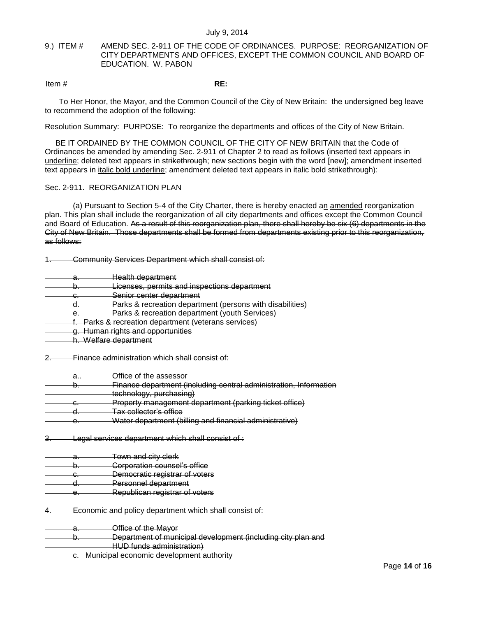## <span id="page-13-0"></span>9.) ITEM # AMEND SEC. 2-911 OF THE CODE OF ORDINANCES. PURPOSE: REORGANIZATION OF CITY DEPARTMENTS AND OFFICES, EXCEPT THE COMMON COUNCIL AND BOARD OF EDUCATION. W. PABON

Item # **RE:**

To Her Honor, the Mayor, and the Common Council of the City of New Britain: the undersigned beg leave to recommend the adoption of the following:

Resolution Summary: PURPOSE: To reorganize the departments and offices of the City of New Britain.

BE IT ORDAINED BY THE COMMON COUNCIL OF THE CITY OF NEW BRITAIN that the Code of Ordinances be amended by amending Sec. 2-911 of Chapter 2 to read as follows (inserted text appears in underline; deleted text appears in strikethrough; new sections begin with the word [new]; amendment inserted text appears in *italic bold underline;* amendment deleted text appears in italic bold strikethrough):

## Sec. 2-911. REORGANIZATION PLAN

(a) Pursuant to Section 5-4 of the City Charter, there is hereby enacted an amended reorganization plan. This plan shall include the reorganization of all city departments and offices except the Common Council and Board of Education. As a result of this reorganization plan, there shall hereby be six (6) departments in the City of New Britain. Those departments shall be formed from departments existing prior to this reorganization, as follows:

1. Community Services Department which shall consist of:

- Health department
- b. **Licenses, permits and inspections department**
- c. Senior center department
- d. Parks & recreation department (persons with disabilities)
- e. Parks & recreation department (youth Services)
- f. Parks & recreation department (veterans services)
- g. Human rights and opportunities
- h. Welfare department
- 2. Finance administration which shall consist of:
- a.. Office of the assessor
- b. Finance department (including central administration, Information technology, purchasing) c. Property management department (parking ticket office) d. Tax collector's office
- e. Water department (billing and financial administrative)
- 
- 3. Legal services department which shall consist of :
- a. Town and city clerk
- b. **Corporation counsel's office**
- c. Democratic registrar of voters
- d. Personnel department
- e. Republican registrar of voters
- 4. Economic and policy department which shall consist of:

a. Office of the Mayor

| Department of municipal development (including city plan and         |
|----------------------------------------------------------------------|
| <del>poparmont or manopal acvolopmont (including oily plan and</del> |
| HUD funde administration)<br><del>1100 191190 991111110119117</del>  |

c. Municipal economic development authority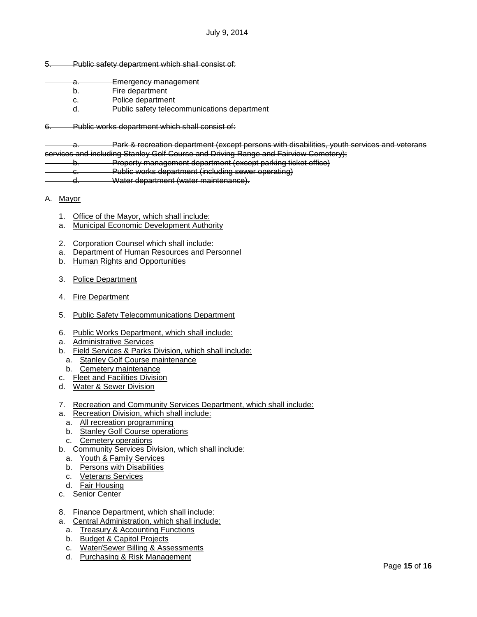- 5. Public safety department which shall consist of:
- a. Emergency management b. Fire department c. Police department d. Public safety telecommunications department
- 6. Public works department which shall consist of:

a. Park & recreation department (except persons with disabilities, youth services and veterans services and including Stanley Golf Course and Driving Range and Fairview Cemetery); b. Property management department (except parking ticket office)

- c. Public works department (including sewer operating)
- 
- d. Water department (water maintenance).
- A. Mayor
	- 1. Office of the Mayor, which shall include:
	- a. Municipal Economic Development Authority
	- 2. Corporation Counsel which shall include:
	- a. Department of Human Resources and Personnel
	- b. Human Rights and Opportunities
	- 3. Police Department
	- 4. Fire Department
	- 5. Public Safety Telecommunications Department
	- 6. Public Works Department, which shall include:
	- a. Administrative Services
	- b. Field Services & Parks Division, which shall include:
	- a. Stanley Golf Course maintenance
	- b. Cemetery maintenance
	- c. Fleet and Facilities Division
	- d. Water & Sewer Division
	- 7. Recreation and Community Services Department, which shall include:
	- a. Recreation Division, which shall include:
		- a. All recreation programming
		- b. Stanley Golf Course operations
		- c. Cemetery operations
	- b. Community Services Division, which shall include:
		- a. Youth & Family Services
		- b. Persons with Disabilities
		- c. Veterans Services
		- d. Fair Housing
	- c. Senior Center
	- 8. Finance Department, which shall include:
	- a. Central Administration, which shall include:
		- a. Treasury & Accounting Functions
		- b. Budget & Capitol Projects
		- c. Water/Sewer Billing & Assessments
		- d. Purchasing & Risk Management